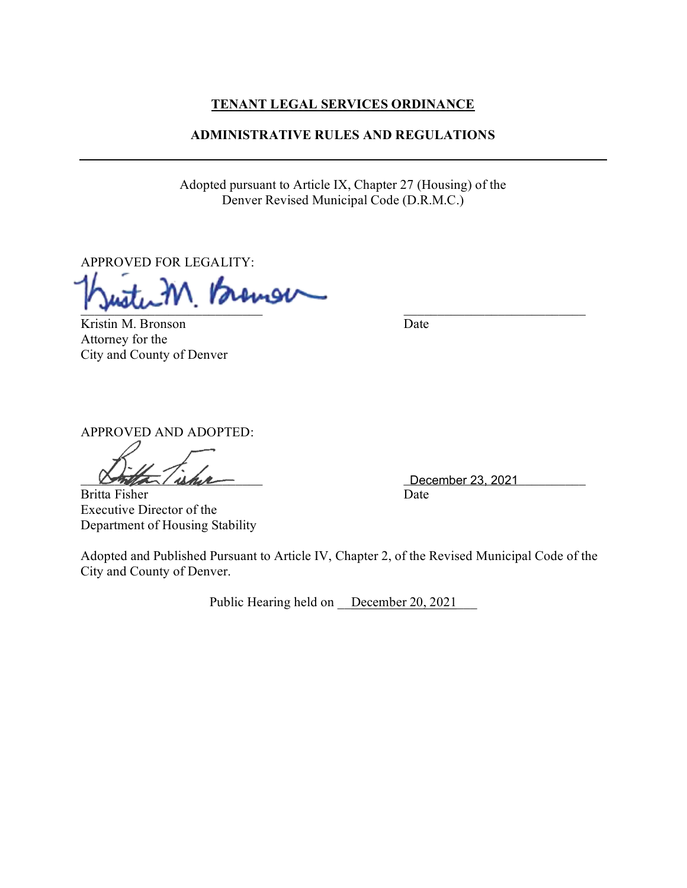# **TENANT LEGAL SERVICES ORDINANCE**

# **ADMINISTRATIVE RULES AND REGULATIONS**

Adopted pursuant to Article IX, Chapter 27 (Housing) of the Denver Revised Municipal Code (D.R.M.C.)

APPROVED FOR LEGALITY:

 $\Box$ 

Kristin M. Bronson Date Attorney for the City and County of Denver

APPROVED AND ADOPTED:

Britta Fisher Date

Executive Director of the Department of Housing Stability

 $December 23, 2021$ 

Adopted and Published Pursuant to Article IV, Chapter 2, of the Revised Municipal Code of the City and County of Denver.

Public Hearing held on December 20, 2021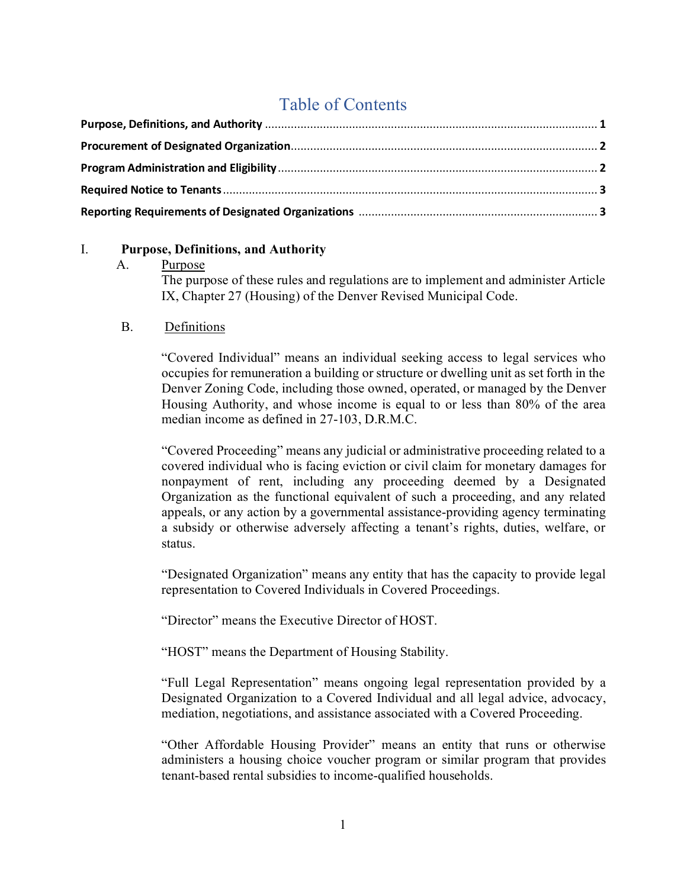# Table of Contents

## I. **Purpose, Definitions, and Authority**

A. Purpose

The purpose of these rules and regulations are to implement and administer Article IX, Chapter 27 (Housing) of the Denver Revised Municipal Code.

## B. Definitions

"Covered Individual" means an individual seeking access to legal services who occupies for remuneration a building or structure or dwelling unit as set forth in the Denver Zoning Code, including those owned, operated, or managed by the Denver Housing Authority, and whose income is equal to or less than 80% of the area median income as defined in 27-103, D.R.M.C.

"Covered Proceeding" means any judicial or administrative proceeding related to a covered individual who is facing eviction or civil claim for monetary damages for nonpayment of rent, including any proceeding deemed by a Designated Organization as the functional equivalent of such a proceeding, and any related appeals, or any action by a governmental assistance-providing agency terminating a subsidy or otherwise adversely affecting a tenant's rights, duties, welfare, or status.

"Designated Organization" means any entity that has the capacity to provide legal representation to Covered Individuals in Covered Proceedings.

"Director" means the Executive Director of HOST.

"HOST" means the Department of Housing Stability.

"Full Legal Representation" means ongoing legal representation provided by a Designated Organization to a Covered Individual and all legal advice, advocacy, mediation, negotiations, and assistance associated with a Covered Proceeding.

"Other Affordable Housing Provider" means an entity that runs or otherwise administers a housing choice voucher program or similar program that provides tenant-based rental subsidies to income-qualified households.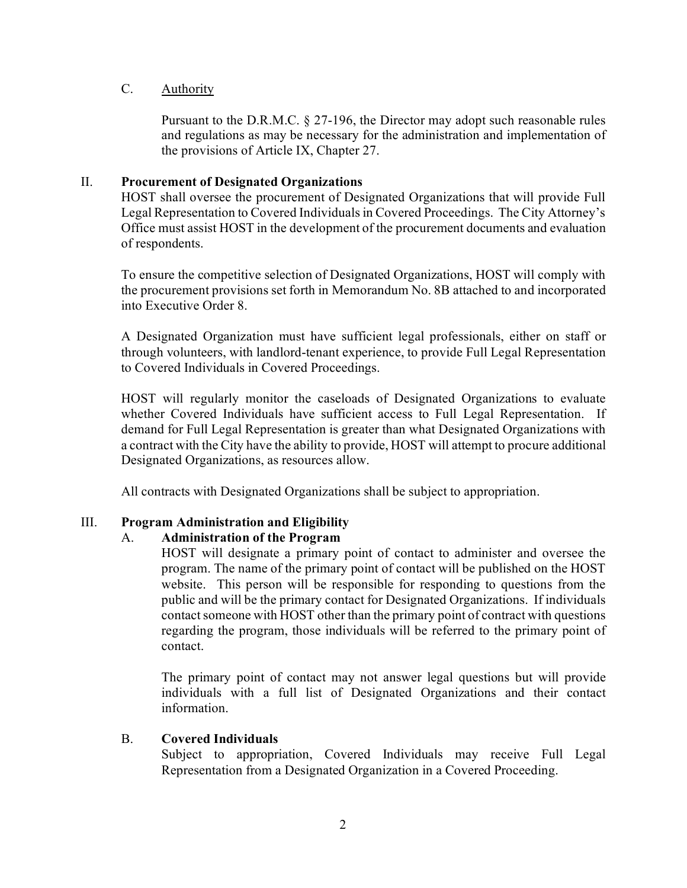## C. Authority

Pursuant to the D.R.M.C. § 27-196, the Director may adopt such reasonable rules and regulations as may be necessary for the administration and implementation of the provisions of Article IX, Chapter 27.

#### II. **Procurement of Designated Organizations**

HOST shall oversee the procurement of Designated Organizations that will provide Full Legal Representation to Covered Individuals in Covered Proceedings. The City Attorney's Office must assist HOST in the development of the procurement documents and evaluation of respondents.

To ensure the competitive selection of Designated Organizations, HOST will comply with the procurement provisions set forth in Memorandum No. 8B attached to and incorporated into Executive Order 8.

A Designated Organization must have sufficient legal professionals, either on staff or through volunteers, with landlord-tenant experience, to provide Full Legal Representation to Covered Individuals in Covered Proceedings.

HOST will regularly monitor the caseloads of Designated Organizations to evaluate whether Covered Individuals have sufficient access to Full Legal Representation. If demand for Full Legal Representation is greater than what Designated Organizations with a contract with the City have the ability to provide, HOST will attempt to procure additional Designated Organizations, as resources allow.

All contracts with Designated Organizations shall be subject to appropriation.

# III. **Program Administration and Eligibility**

# A. **Administration of the Program**

HOST will designate a primary point of contact to administer and oversee the program. The name of the primary point of contact will be published on the HOST website. This person will be responsible for responding to questions from the public and will be the primary contact for Designated Organizations. If individuals contact someone with HOST other than the primary point of contract with questions regarding the program, those individuals will be referred to the primary point of contact.

The primary point of contact may not answer legal questions but will provide individuals with a full list of Designated Organizations and their contact information.

#### B. **Covered Individuals**

Subject to appropriation, Covered Individuals may receive Full Legal Representation from a Designated Organization in a Covered Proceeding.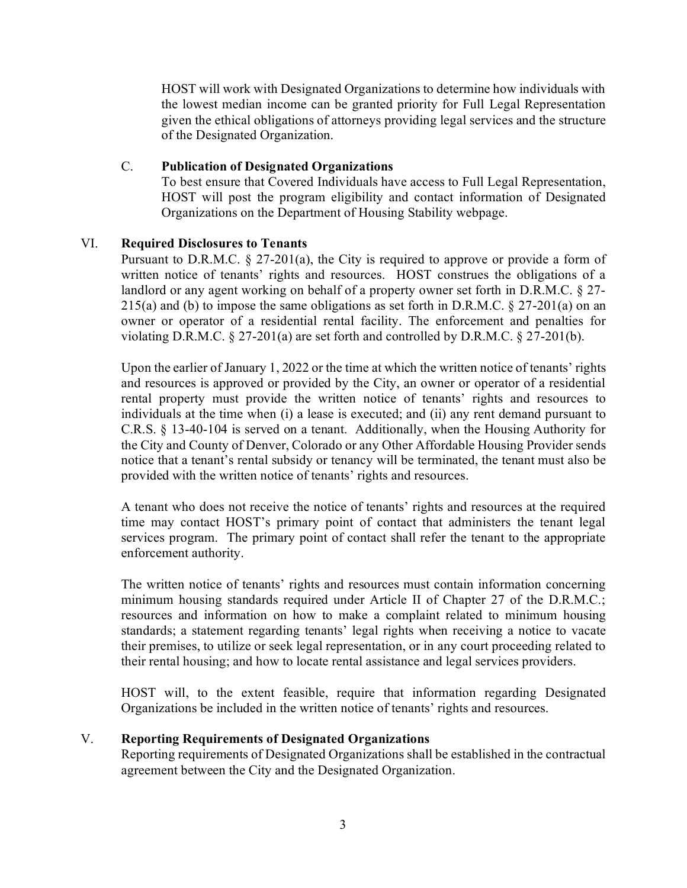HOST will work with Designated Organizations to determine how individuals with the lowest median income can be granted priority for Full Legal Representation given the ethical obligations of attorneys providing legal services and the structure of the Designated Organization.

## C. **Publication of Designated Organizations**

To best ensure that Covered Individuals have access to Full Legal Representation, HOST will post the program eligibility and contact information of Designated Organizations on the Department of Housing Stability webpage.

## VI. **Required Disclosures to Tenants**

Pursuant to D.R.M.C. § 27-201(a), the City is required to approve or provide a form of written notice of tenants' rights and resources. HOST construes the obligations of a landlord or any agent working on behalf of a property owner set forth in D.R.M.C. § 27- 215(a) and (b) to impose the same obligations as set forth in D.R.M.C.  $\S 27-201$ (a) on an owner or operator of a residential rental facility. The enforcement and penalties for violating D.R.M.C. § 27-201(a) are set forth and controlled by D.R.M.C. § 27-201(b).

Upon the earlier of January 1, 2022 or the time at which the written notice of tenants' rights and resources is approved or provided by the City, an owner or operator of a residential rental property must provide the written notice of tenants' rights and resources to individuals at the time when (i) a lease is executed; and (ii) any rent demand pursuant to C.R.S. § 13-40-104 is served on a tenant. Additionally, when the Housing Authority for the City and County of Denver, Colorado or any Other Affordable Housing Provider sends notice that a tenant's rental subsidy or tenancy will be terminated, the tenant must also be provided with the written notice of tenants' rights and resources.

A tenant who does not receive the notice of tenants' rights and resources at the required time may contact HOST's primary point of contact that administers the tenant legal services program. The primary point of contact shall refer the tenant to the appropriate enforcement authority.

The written notice of tenants' rights and resources must contain information concerning minimum housing standards required under Article II of Chapter 27 of the D.R.M.C.; resources and information on how to make a complaint related to minimum housing standards; a statement regarding tenants' legal rights when receiving a notice to vacate their premises, to utilize or seek legal representation, or in any court proceeding related to their rental housing; and how to locate rental assistance and legal services providers.

HOST will, to the extent feasible, require that information regarding Designated Organizations be included in the written notice of tenants' rights and resources.

#### V. **Reporting Requirements of Designated Organizations**

Reporting requirements of Designated Organizations shall be established in the contractual agreement between the City and the Designated Organization.